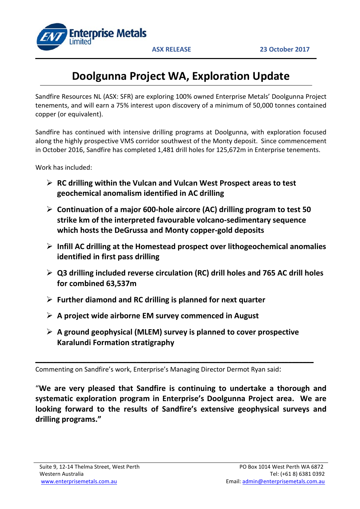

# **Doolgunna Project WA, Exploration Update**

Sandfire Resources NL (ASX: SFR) are exploring 100% owned Enterprise Metals' Doolgunna Project tenements, and will earn a 75% interest upon discovery of a minimum of 50,000 tonnes contained copper (or equivalent).

Sandfire has continued with intensive drilling programs at Doolgunna, with exploration focused along the highly prospective VMS corridor southwest of the Monty deposit. Since commencement in October 2016, Sandfire has completed 1,481 drill holes for 125,672m in Enterprise tenements.

Work has included:

- **RC drilling within the Vulcan and Vulcan West Prospect areas to test geochemical anomalism identified in AC drilling**
- **Continuation of a major 600-hole aircore (AC) drilling program to test 50 strike km of the interpreted favourable volcano-sedimentary sequence which hosts the DeGrussa and Monty copper-gold deposits**
- **Infill AC drilling at the Homestead prospect over lithogeochemical anomalies identified in first pass drilling**
- **Q3 drilling included reverse circulation (RC) drill holes and 765 AC drill holes for combined 63,537m**
- **Further diamond and RC drilling is planned for next quarter**
- **A project wide airborne EM survey commenced in August**
- **A ground geophysical (MLEM) survey is planned to cover prospective Karalundi Formation stratigraphy**

**\_\_\_\_\_\_\_\_\_\_\_\_\_\_\_\_\_\_\_\_\_\_\_\_\_\_\_\_\_\_\_\_\_\_\_\_\_\_\_\_\_\_\_\_\_\_\_\_\_\_\_\_\_\_\_\_\_\_\_\_\_\_\_\_\_\_\_\_\_\_\_\_\_\_\_\_\_**

Commenting on Sandfire's work, Enterprise's Managing Director Dermot Ryan said:

"**We are very pleased that Sandfire is continuing to undertake a thorough and systematic exploration program in Enterprise's Doolgunna Project area. We are looking forward to the results of Sandfire's extensive geophysical surveys and drilling programs."**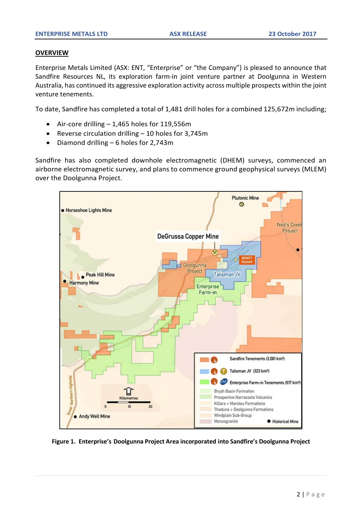# **OVERVIEW**

Enterprise Metals Limited (ASX: ENT, "Enterprise" or "the Company") is pleased to announce that Sandfire Resources NL, its exploration farm-in joint venture partner at Doolgunna in Western Australia, has continued its aggressive exploration activity across multiple prospects within the joint venture tenements.

To date, Sandfire has completed a total of 1,481 drill holes for a combined 125,672m including;

- Air-core drilling 1,465 holes for 119,556m
- Reverse circulation drilling 10 holes for 3,745m
- Diamond drilling 6 holes for 2,743m

Sandfire has also completed downhole electromagnetic (DHEM) surveys, commenced an airborne electromagnetic survey, and plans to commence ground geophysical surveys (MLEM) over the Doolgunna Project.



**Figure 1. Enterprise's Doolgunna Project Area incorporated into Sandfire's Doolgunna Project**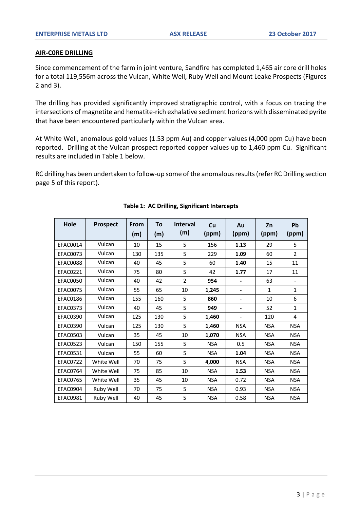# **AIR-C0RE DRILLING**

Since commencement of the farm in joint venture, Sandfire has completed 1,465 air core drill holes for a total 119,556m across the Vulcan, White Well, Ruby Well and Mount Leake Prospects (Figures 2 and 3).

The drilling has provided significantly improved stratigraphic control, with a focus on tracing the intersections of magnetite and hematite-rich exhalative sediment horizons with disseminated pyrite that have been encountered particularly within the Vulcan area.

At White Well, anomalous gold values (1.53 ppm Au) and copper values (4,000 ppm Cu) have been reported. Drilling at the Vulcan prospect reported copper values up to 1,460 ppm Cu. Significant results are included in Table 1 below.

RC drilling has been undertaken to follow-up some of the anomalous results (refer RC Drilling section page 5 of this report).

| Hole            | <b>Prospect</b> | From<br>(m) | To<br>(m) | <b>Interval</b><br>(m) | Cu<br>(ppm) | Au<br>(ppm)                  | Zn<br>(ppm)  | Pb<br>(ppm)              |
|-----------------|-----------------|-------------|-----------|------------------------|-------------|------------------------------|--------------|--------------------------|
| EFAC0014        | Vulcan          | 10          | 15        | 5                      | 156         | 1.13                         | 29           | 5                        |
| <b>EFAC0073</b> | Vulcan          | 130         | 135       | 5                      | 229         | 1.09                         | 60           | $\overline{2}$           |
| <b>EFAC0088</b> | Vulcan          | 40          | 45        | 5                      | 60          | 1.40                         | 15           | 11                       |
| <b>EFAC0221</b> | Vulcan          | 75          | 80        | 5                      | 42          | 1.77                         | 17           | 11                       |
| <b>EFAC0050</b> | Vulcan          | 40          | 42        | $\overline{2}$         | 954         | -                            | 63           | $\overline{\phantom{0}}$ |
| <b>EFAC0075</b> | Vulcan          | 55          | 65        | 10                     | 1,245       | $\blacksquare$               | $\mathbf{1}$ | $\mathbf{1}$             |
| EFAC0186        | Vulcan          | 155         | 160       | 5                      | 860         | $\qquad \qquad \blacksquare$ | 10           | 6                        |
| <b>EFAC0373</b> | Vulcan          | 40          | 45        | 5                      | 949         | $\overline{\phantom{0}}$     | 52           | $\mathbf{1}$             |
| <b>EFAC0390</b> | Vulcan          | 125         | 130       | 5                      | 1,460       | $\overline{a}$               | 120          | 4                        |
| <b>EFAC0390</b> | Vulcan          | 125         | 130       | 5                      | 1,460       | <b>NSA</b>                   | <b>NSA</b>   | <b>NSA</b>               |
| <b>EFAC0503</b> | Vulcan          | 35          | 45        | 10                     | 1,070       | <b>NSA</b>                   | <b>NSA</b>   | <b>NSA</b>               |
| EFAC0523        | Vulcan          | 150         | 155       | 5                      | <b>NSA</b>  | 0.5                          | <b>NSA</b>   | <b>NSA</b>               |
| EFAC0531        | Vulcan          | 55          | 60        | 5                      | <b>NSA</b>  | 1.04                         | <b>NSA</b>   | <b>NSA</b>               |
| EFAC0722        | White Well      | 70          | 75        | 5                      | 4,000       | <b>NSA</b>                   | <b>NSA</b>   | <b>NSA</b>               |
| EFAC0764        | White Well      | 75          | 85        | 10                     | <b>NSA</b>  | 1.53                         | <b>NSA</b>   | <b>NSA</b>               |
| EFAC0765        | White Well      | 35          | 45        | 10                     | <b>NSA</b>  | 0.72                         | <b>NSA</b>   | <b>NSA</b>               |
| EFAC0904        | Ruby Well       | 70          | 75        | 5                      | <b>NSA</b>  | 0.93                         | <b>NSA</b>   | <b>NSA</b>               |
| EFAC0981        | Ruby Well       | 40          | 45        | 5                      | <b>NSA</b>  | 0.58                         | <b>NSA</b>   | <b>NSA</b>               |

## **Table 1: AC Drilling, Significant Intercepts**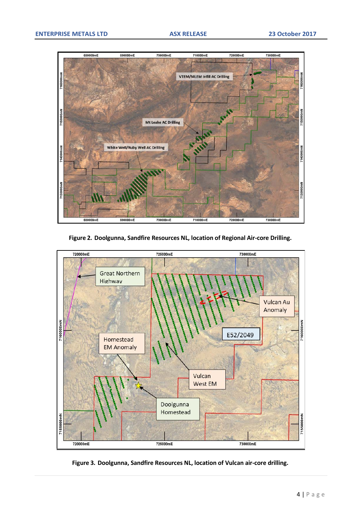

**Figure 2. Doolgunna, Sandfire Resources NL, location of Regional Air-core Drilling.**



**Figure 3. Doolgunna, Sandfire Resources NL, location of Vulcan air-core drilling.**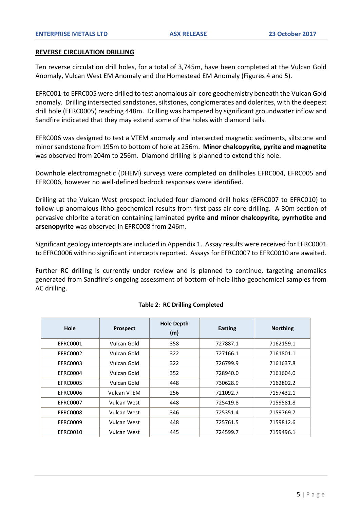#### **REVERSE CIRCULATION DRILLING**

Ten reverse circulation drill holes, for a total of 3,745m, have been completed at the Vulcan Gold Anomaly, Vulcan West EM Anomaly and the Homestead EM Anomaly (Figures 4 and 5).

EFRC001-to EFRC005 were drilled to test anomalous air-core geochemistry beneath the Vulcan Gold anomaly. Drilling intersected sandstones, siltstones, conglomerates and dolerites, with the deepest drill hole (EFRC0005) reaching 448m. Drilling was hampered by significant groundwater inflow and Sandfire indicated that they may extend some of the holes with diamond tails.

EFRC006 was designed to test a VTEM anomaly and intersected magnetic sediments, siltstone and minor sandstone from 195m to bottom of hole at 256m. **Minor chalcopyrite, pyrite and magnetite**  was observed from 204m to 256m. Diamond drilling is planned to extend this hole.

Downhole electromagnetic (DHEM) surveys were completed on drillholes EFRC004, EFRC005 and EFRC006, however no well-defined bedrock responses were identified.

Drilling at the Vulcan West prospect included four diamond drill holes (EFRC007 to EFRC010) to follow-up anomalous litho-geochemical results from first pass air-core drilling. A 30m section of pervasive chlorite alteration containing laminated **pyrite and minor chalcopyrite, pyrrhotite and arsenopyrite** was observed in EFRC008 from 246m.

Significant geology intercepts are included in Appendix 1. Assay results were received for EFRC0001 to EFRC0006 with no significant intercepts reported. Assays for EFRC0007 to EFRC0010 are awaited.

Further RC drilling is currently under review and is planned to continue, targeting anomalies generated from Sandfire's ongoing assessment of bottom-of-hole litho-geochemical samples from AC drilling.

| Hole            | <b>Prospect</b>    | <b>Hole Depth</b><br>(m) | <b>Easting</b> | <b>Northing</b> |
|-----------------|--------------------|--------------------------|----------------|-----------------|
| <b>EFRC0001</b> | Vulcan Gold        | 358                      | 727887.1       | 7162159.1       |
| EFRC0002        | Vulcan Gold        | 322                      | 727166.1       | 7161801.1       |
| EFRC0003        | Vulcan Gold        | 322                      | 726799.9       | 7161637.8       |
| EFRC0004        | Vulcan Gold        | 352                      | 728940.0       | 7161604.0       |
| <b>EFRC0005</b> | Vulcan Gold        | 448                      | 730628.9       | 7162802.2       |
| EFRC0006        | <b>Vulcan VTEM</b> | 256                      | 721092.7       | 7157432.1       |
| EFRC0007        | Vulcan West        | 448                      | 725419.8       | 7159581.8       |
| EFRC0008        | Vulcan West        | 346                      | 725351.4       | 7159769.7       |
| EFRC0009        | Vulcan West        | 448                      | 725761.5       | 7159812.6       |
| EFRC0010        | Vulcan West        | 445                      | 724599.7       | 7159496.1       |

## **Table 2: RC Drilling Completed**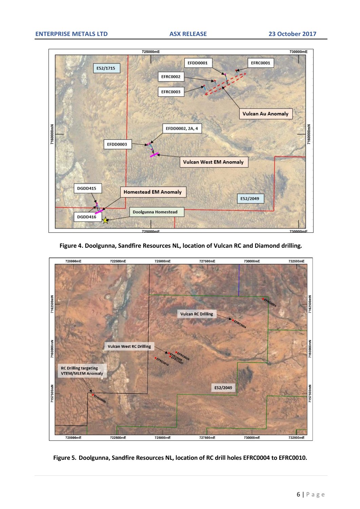

**Figure 4. Doolgunna, Sandfire Resources NL, location of Vulcan RC and Diamond drilling***.*



**Figure 5. Doolgunna, Sandfire Resources NL, location of RC drill holes EFRC0004 to EFRC0010.**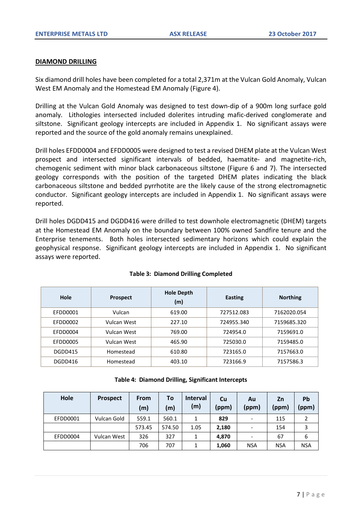# **DIAMOND DRILLING**

Six diamond drill holes have been completed for a total 2,371m at the Vulcan Gold Anomaly, Vulcan West EM Anomaly and the Homestead EM Anomaly (Figure 4).

Drilling at the Vulcan Gold Anomaly was designed to test down-dip of a 900m long surface gold anomaly. Lithologies intersected included dolerites intruding mafic-derived conglomerate and siltstone. Significant geology intercepts are included in Appendix 1. No significant assays were reported and the source of the gold anomaly remains unexplained.

Drill holes EFDD0004 and EFDD0005 were designed to test a revised DHEM plate at the Vulcan West prospect and intersected significant intervals of bedded, haematite- and magnetite-rich, chemogenic sediment with minor black carbonaceous siltstone (Figure 6 and 7). The intersected geology corresponds with the position of the targeted DHEM plates indicating the black carbonaceous siltstone and bedded pyrrhotite are the likely cause of the strong electromagnetic conductor. Significant geology intercepts are included in Appendix 1. No significant assays were reported.

Drill holes DGDD415 and DGDD416 were drilled to test downhole electromagnetic (DHEM) targets at the Homestead EM Anomaly on the boundary between 100% owned Sandfire tenure and the Enterprise tenements. Both holes intersected sedimentary horizons which could explain the geophysical response. Significant geology intercepts are included in Appendix 1. No significant assays were reported.

| Hole     | <b>Prospect</b> | <b>Hole Depth</b><br>(m) | <b>Easting</b> | <b>Northing</b> |
|----------|-----------------|--------------------------|----------------|-----------------|
| EFDD0001 | Vulcan          | 619.00                   | 727512.083     | 7162020.054     |
| EFDD0002 | Vulcan West     | 227.10                   | 724955.340     | 7159685.320     |
| EFDD0004 | Vulcan West     | 769.00                   | 724954.0       | 7159691.0       |
| EFDD0005 | Vulcan West     | 465.90                   | 725030.0       | 7159485.0       |
| DGDD415  | Homestead       | 610.80                   | 723165.0       | 7157663.0       |
| DGDD416  | Homestead       | 403.10                   | 723166.9       | 7157586.3       |

# **Table 3: Diamond Drilling Completed**

| Table 4: Diamond Drilling, Significant Intercepts |  |
|---------------------------------------------------|--|
|---------------------------------------------------|--|

| Hole     | <b>Prospect</b> | From<br>(m) | To<br>(m) | <b>Interval</b><br>(m) | Cu<br>(ppm) | Au<br>(ppm)              | Zn<br>(ppm) | <b>Pb</b><br>(ppm) |
|----------|-----------------|-------------|-----------|------------------------|-------------|--------------------------|-------------|--------------------|
| EFDD0001 | Vulcan Gold     | 559.1       | 560.1     | 1                      | 829         | $\overline{\phantom{a}}$ | 115         | 2                  |
|          |                 | 573.45      | 574.50    | 1.05                   | 2,180       | $\overline{\phantom{0}}$ | 154         | 3                  |
| EFDD0004 | Vulcan West     | 326         | 327       |                        | 4,870       | $\overline{\phantom{a}}$ | 67          | 6                  |
|          |                 | 706         | 707       |                        | 1,060       | <b>NSA</b>               | <b>NSA</b>  | <b>NSA</b>         |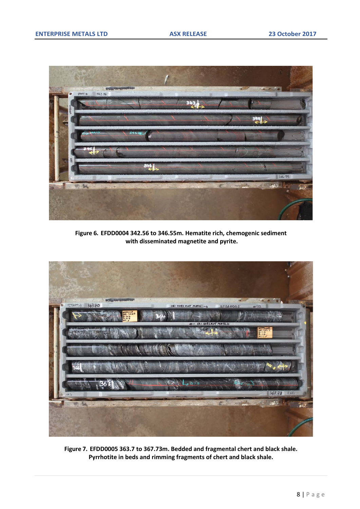

**Figure 6. EFDD0004 342.56 to 346.55m. Hematite rich, chemogenic sediment with disseminated magnetite and pyrite.**



**Figure 7. EFDD0005 363.7 to 367.73m. Bedded and fragmental chert and black shale. Pyrrhotite in beds and rimming fragments of chert and black shale.**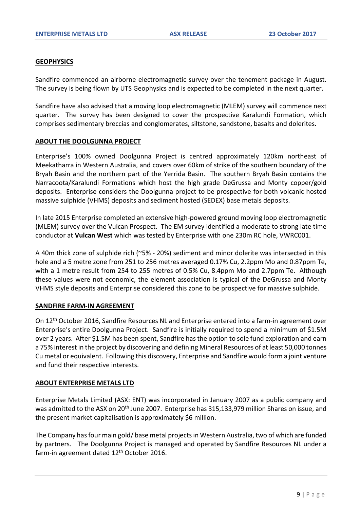# **GEOPHYSICS**

Sandfire commenced an airborne electromagnetic survey over the tenement package in August. The survey is being flown by UTS Geophysics and is expected to be completed in the next quarter.

Sandfire have also advised that a moving loop electromagnetic (MLEM) survey will commence next quarter. The survey has been designed to cover the prospective Karalundi Formation, which comprises sedimentary breccias and conglomerates, siltstone, sandstone, basalts and dolerites.

# **ABOUT THE DOOLGUNNA PROJECT**

Enterprise's 100% owned Doolgunna Project is centred approximately 120km northeast of Meekatharra in Western Australia, and covers over 60km of strike of the southern boundary of the Bryah Basin and the northern part of the Yerrida Basin. The southern Bryah Basin contains the Narracoota/Karalundi Formations which host the high grade DeGrussa and Monty copper/gold deposits. Enterprise considers the Doolgunna project to be prospective for both volcanic hosted massive sulphide (VHMS) deposits and sediment hosted (SEDEX) base metals deposits.

In late 2015 Enterprise completed an extensive high-powered ground moving loop electromagnetic (MLEM) survey over the Vulcan Prospect. The EM survey identified a moderate to strong late time conductor at **Vulcan West** which was tested by Enterprise with one 230m RC hole, VWRC001.

A 40m thick zone of sulphide rich (~5% - 20%) sediment and minor dolerite was intersected in this hole and a 5 metre zone from 251 to 256 metres averaged 0.17% Cu, 2.2ppm Mo and 0.87ppm Te, with a 1 metre result from 254 to 255 metres of 0.5% Cu, 8.4ppm Mo and 2.7ppm Te. Although these values were not economic, the element association is typical of the DeGrussa and Monty VHMS style deposits and Enterprise considered this zone to be prospective for massive sulphide.

## **SANDFIRE FARM-IN AGREEMENT**

On 12th October 2016, Sandfire Resources NL and Enterprise entered into a farm-in agreement over Enterprise's entire Doolgunna Project. Sandfire is initially required to spend a minimum of \$1.5M over 2 years. After \$1.5M has been spent, Sandfire has the option to sole fund exploration and earn a 75% interest in the project by discovering and defining Mineral Resources of at least 50,000 tonnes Cu metal or equivalent. Following this discovery, Enterprise and Sandfire would form a joint venture and fund their respective interests.

## **ABOUT ENTERPRISE METALS LTD**

Enterprise Metals Limited (ASX: ENT) was incorporated in January 2007 as a public company and was admitted to the ASX on 20<sup>th</sup> June 2007. Enterprise has 315,133,979 million Shares on issue, and the present market capitalisation is approximately \$6 million.

The Company has four main gold/ base metal projects in Western Australia, two of which are funded by partners. The Doolgunna Project is managed and operated by Sandfire Resources NL under a farm-in agreement dated 12<sup>th</sup> October 2016.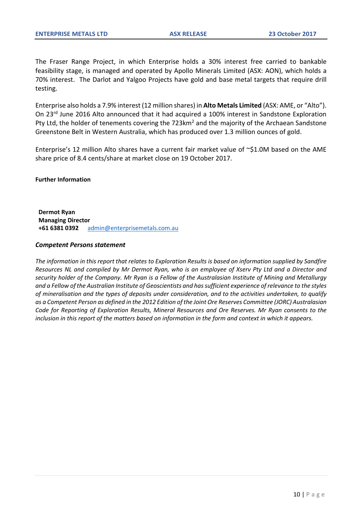The Fraser Range Project, in which Enterprise holds a 30% interest free carried to bankable feasibility stage, is managed and operated by Apollo Minerals Limited (ASX: AON), which holds a 70% interest. The Darlot and Yalgoo Projects have gold and base metal targets that require drill testing.

Enterprise also holds a 7.9% interest (12 million shares) in **Alto Metals Limited** (ASX: AME, or "Alto"). On 23rd June 2016 Alto announced that it had acquired a 100% interest in Sandstone Exploration Pty Ltd, the holder of tenements covering the 723km<sup>2</sup> and the majority of the Archaean Sandstone Greenstone Belt in Western Australia, which has produced over 1.3 million ounces of gold.

Enterprise's 12 million Alto shares have a current fair market value of ~\$1.0M based on the AME share price of 8.4 cents/share at market close on 19 October 2017.

#### **Further Information**

**Dermot Ryan Managing Director +61 6381 0392** [admin@enterprisemetals.com.au](mailto:admin@enterprisemetals.com.au)

#### *Competent Persons statement*

*The information in this report that relates to Exploration Results is based on information supplied by Sandfire Resources NL and compiled by Mr Dermot Ryan, who is an employee of Xserv Pty Ltd and a Director and security holder of the Company. Mr Ryan is a Fellow of the Australasian Institute of Mining and Metallurgy and a Fellow of the Australian Institute of Geoscientists and has sufficient experience of relevance to the styles of mineralisation and the types of deposits under consideration, and to the activities undertaken, to qualify as a Competent Person as defined in the 2012 Edition of the Joint Ore Reserves Committee (JORC) Australasian Code for Reporting of Exploration Results, Mineral Resources and Ore Reserves. Mr Ryan consents to the inclusion in this report of the matters based on information in the form and context in which it appears.*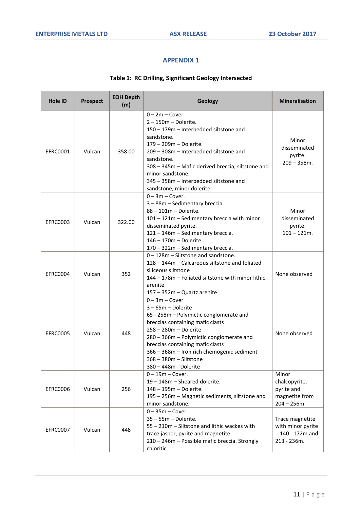# **APPENDIX 1**

# **Table 1: RC Drilling, Significant Geology Intersected**

| <b>Hole ID</b>  | <b>Prospect</b> | <b>EOH Depth</b><br>(m) | Geology                                                                                                                                                                                                                                                                                                                                | <b>Mineralisation</b>                                                    |
|-----------------|-----------------|-------------------------|----------------------------------------------------------------------------------------------------------------------------------------------------------------------------------------------------------------------------------------------------------------------------------------------------------------------------------------|--------------------------------------------------------------------------|
| <b>EFRC0001</b> | Vulcan          | 358.00                  | $0 - 2m - Cover.$<br>$2 - 150m - Dolerite.$<br>150 - 179m - Interbedded siltstone and<br>sandstone.<br>179 - 209m - Dolerite.<br>209 - 308m - Interbedded siltstone and<br>sandstone.<br>308 - 345m - Mafic derived breccia, siltstone and<br>minor sandstone.<br>345 - 358m - Interbedded siltstone and<br>sandstone, minor dolerite. | Minor<br>disseminated<br>pyrite:<br>$209 - 358$ m.                       |
| EFRC0003        | Vulcan          | 322.00                  | $0 - 3m - Cover.$<br>3 - 88m - Sedimentary breccia.<br>$88 - 101m - Dolerite.$<br>101 - 121m - Sedimentary breccia with minor<br>disseminated pyrite.<br>121 - 146m - Sedimentary breccia.<br>146 - 170m - Dolerite.<br>170 - 322m - Sedimentary breccia.                                                                              | Minor<br>disseminated<br>pyrite:<br>$101 - 121m$ .                       |
| EFRC0004        | Vulcan          | 352                     | $0 - 128$ m – Siltstone and sandstone.<br>128 - 144m - Calcareous siltstone and foliated<br>siliceous siltstone<br>144 - 178m - Foliated siltstone with minor lithic<br>arenite<br>157 - 352m - Quartz arenite                                                                                                                         | None observed                                                            |
| <b>EFRC0005</b> | Vulcan          | 448                     | $0 - 3m - Cover$<br>$3 - 65m - Dolerite$<br>65 - 258m - Polymictic conglomerate and<br>breccias containing mafic clasts<br>258 - 280m - Dolerite<br>280 - 366m - Polymictic conglomerate and<br>breccias containing mafic clasts<br>366 - 368m - Iron rich chemogenic sediment<br>368 - 380m - Siltstone<br>380 - 448m - Dolerite      | None observed                                                            |
| EFRC0006        | Vulcan          | 256                     | $0 - 19m - Cover.$<br>19 - 148m - Sheared dolerite.<br>148 - 195m - Dolerite.<br>195 - 256m - Magnetic sediments, siltstone and<br>minor sandstone.                                                                                                                                                                                    | Minor<br>chalcopyrite,<br>pyrite and<br>magnetite from<br>$204 - 256m$   |
| <b>EFRC0007</b> | Vulcan          | 448                     | $0 - 35m - Cover.$<br>$35 - 55m - Dolerite.$<br>55 - 210m - Siltstone and lithic wackes with<br>trace jasper, pyrite and magnetite.<br>210 - 246m - Possible mafic breccia. Strongly<br>chloritic.                                                                                                                                     | Trace magnetite<br>with minor pyrite<br>$-140 - 172m$ and<br>213 - 236m. |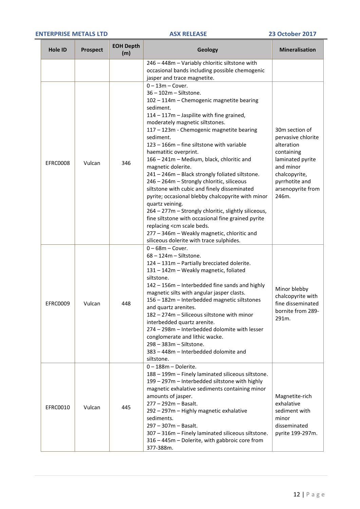#### **ENTERPRISE METALS LTD ASX RELEASE 23 October 2017**

| <b>Hole ID</b>  | <b>Prospect</b> | <b>EOH Depth</b><br>(m) | Geology                                                                                                                                                                                                                                                                                                                                                                                                                                                                                                                                                                                           | <b>Mineralisation</b>                                                                                                                                              |
|-----------------|-----------------|-------------------------|---------------------------------------------------------------------------------------------------------------------------------------------------------------------------------------------------------------------------------------------------------------------------------------------------------------------------------------------------------------------------------------------------------------------------------------------------------------------------------------------------------------------------------------------------------------------------------------------------|--------------------------------------------------------------------------------------------------------------------------------------------------------------------|
|                 |                 |                         | 246 - 448m - Variably chloritic siltstone with                                                                                                                                                                                                                                                                                                                                                                                                                                                                                                                                                    |                                                                                                                                                                    |
|                 |                 |                         | occasional bands including possible chemogenic                                                                                                                                                                                                                                                                                                                                                                                                                                                                                                                                                    |                                                                                                                                                                    |
|                 |                 |                         | jasper and trace magnetite.                                                                                                                                                                                                                                                                                                                                                                                                                                                                                                                                                                       |                                                                                                                                                                    |
| EFRC0008        | Vulcan          | 346                     | $0 - 13m - Cover.$<br>$36 - 102m - Siltstone.$<br>102 - 114m - Chemogenic magnetite bearing<br>sediment.<br>114 - 117m - Jaspilite with fine grained,<br>moderately magnetic siltstones.<br>117 - 123m - Chemogenic magnetite bearing<br>sediment.<br>123 - 166m - fine siltstone with variable<br>haematitic overprint.<br>166 - 241m - Medium, black, chloritic and<br>magnetic dolerite.<br>241 - 246m - Black strongly foliated siltstone.<br>246 - 264m - Strongly chloritic, siliceous<br>siltstone with cubic and finely disseminated<br>pyrite; occasional blebby chalcopyrite with minor | 30m section of<br>pervasive chlorite<br>alteration<br>containing<br>laminated pyrite<br>and minor<br>chalcopyrite,<br>pyrrhotite and<br>arsenopyrite from<br>246m. |
|                 |                 |                         | quartz veining.<br>264 - 277m - Strongly chloritic, slightly siliceous,<br>fine siltstone with occasional fine grained pyrite<br>replacing <cm beds.<br="" scale="">277 - 346m - Weakly magnetic, chloritic and<br/>siliceous dolerite with trace sulphides.</cm>                                                                                                                                                                                                                                                                                                                                 |                                                                                                                                                                    |
| <b>EFRC0009</b> | Vulcan          | 448                     | $0 - 68m - Cover.$<br>$68 - 124m - Siltstone.$<br>124 - 131m - Partially brecciated dolerite.<br>131 - 142m - Weakly magnetic, foliated<br>siltstone.<br>142 - 156m - Interbedded fine sands and highly<br>magnetic silts with angular jasper clasts.<br>156 - 182m - Interbedded magnetic siltstones<br>and quartz arenites.<br>182 - 274m - Siliceous siltstone with minor<br>interbedded quartz arenite.<br>274 - 298m - Interbedded dolomite with lesser<br>conglomerate and lithic wacke.<br>298 - 383m - Siltstone.<br>383 - 448m - Interbedded dolomite and<br>siltstone.                  | Minor blebby<br>chalcopyrite with<br>fine disseminated<br>bornite from 289-<br>291m.                                                                               |
| EFRC0010        | Vulcan          | 445                     | $0 - 188m - Dolerite.$<br>188 - 199m - Finely laminated siliceous siltstone.<br>199 - 297m - Interbedded siltstone with highly<br>magnetic exhalative sediments containing minor<br>amounts of jasper.<br>277 - 292m - Basalt.<br>292 - 297m - Highly magnetic exhalative<br>sediments.<br>297 - 307m - Basalt.<br>307 - 316m - Finely laminated siliceous siltstone.<br>316 - 445m - Dolerite, with gabbroic core from<br>377-388m.                                                                                                                                                              | Magnetite-rich<br>exhalative<br>sediment with<br>minor<br>disseminated<br>pyrite 199-297m.                                                                         |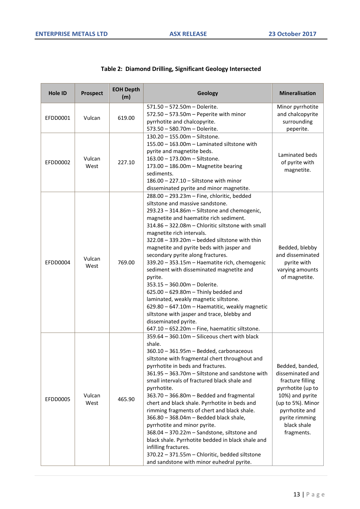| <b>Hole ID</b> | <b>Prospect</b> | <b>EOH Depth</b><br>(m) | Geology                                                                                                                                                                                                                                                                                                                                                                                                                                                                                                                                                                                                                                                                                                                                                                                             | <b>Mineralisation</b>                                                                                                                                                                 |
|----------------|-----------------|-------------------------|-----------------------------------------------------------------------------------------------------------------------------------------------------------------------------------------------------------------------------------------------------------------------------------------------------------------------------------------------------------------------------------------------------------------------------------------------------------------------------------------------------------------------------------------------------------------------------------------------------------------------------------------------------------------------------------------------------------------------------------------------------------------------------------------------------|---------------------------------------------------------------------------------------------------------------------------------------------------------------------------------------|
| EFDD0001       | Vulcan          | 619.00                  | 571.50 - 572.50m - Dolerite.<br>572.50 - 573.50m - Peperite with minor<br>pyrrhotite and chalcopyrite.<br>573.50 - 580.70m - Dolerite.                                                                                                                                                                                                                                                                                                                                                                                                                                                                                                                                                                                                                                                              | Minor pyrrhotite<br>and chalcopyrite<br>surrounding<br>peperite.                                                                                                                      |
| EFDD0002       | Vulcan<br>West  | 227.10                  | 130.20 - 155.00m - Siltstone.<br>155.00 - 163.00m - Laminated siltstone with<br>pyrite and magnetite beds.<br>163.00 - 173.00m - Siltstone.<br>173.00 - 186.00m - Magnetite bearing<br>sediments.<br>186.00 - 227.10 - Siltstone with minor<br>disseminated pyrite and minor magnetite.                                                                                                                                                                                                                                                                                                                                                                                                                                                                                                             | Laminated beds<br>of pyrite with<br>magnetite.                                                                                                                                        |
| EFDD0004       | Vulcan<br>West  | 769.00                  | 288.00 - 293.23m - Fine, chloritic, bedded<br>siltstone and massive sandstone.<br>293.23 - 314.86m - Siltstone and chemogenic,<br>magnetite and haematite rich sediment.<br>314.86 - 322.08m - Chloritic siltstone with small<br>magnetite rich intervals.<br>322.08 - 339.20m - bedded siltstone with thin<br>magnetite and pyrite beds with jasper and<br>secondary pyrite along fractures.<br>339.20 - 353.15m - Haematite rich, chemogenic<br>sediment with disseminated magnetite and<br>pyrite.<br>353.15 - 360.00m - Dolerite.<br>$625.00 - 629.80m$ - Thinly bedded and<br>laminated, weakly magnetic siltstone.<br>629.80 - 647.10m - Haematitic, weakly magnetic<br>siltstone with jasper and trace, blebby and<br>disseminated pyrite.<br>647.10 - 652.20m - Fine, haematitic siltstone. | Bedded, blebby<br>and disseminated<br>pyrite with<br>varying amounts<br>of magnetite.                                                                                                 |
| EFDD0005       | Vulcan<br>West  | 465.90                  | 359.64 - 360.10m - Siliceous chert with black<br>shale.<br>360.10 - 361.95m - Bedded, carbonaceous<br>siltstone with fragmental chert throughout and<br>pyrrhotite in beds and fractures.<br>361.95 - 363.70m - Siltstone and sandstone with<br>small intervals of fractured black shale and<br>pyrrhotite.<br>363.70 - 366.80m - Bedded and fragmental<br>chert and black shale. Pyrrhotite in beds and<br>rimming fragments of chert and black shale.<br>366.80 - 368.04m - Bedded black shale,<br>pyrrhotite and minor pyrite.<br>368.04 - 370.22m - Sandstone, siltstone and<br>black shale. Pyrrhotite bedded in black shale and<br>infilling fractures.<br>370.22 - 371.55m - Chloritic, bedded siltstone<br>and sandstone with minor euhedral pyrite.                                        | Bedded, banded,<br>disseminated and<br>fracture filling<br>pyrrhotite (up to<br>10%) and pyrite<br>(up to 5%). Minor<br>pyrrhotite and<br>pyrite rimming<br>black shale<br>fragments. |

# **Table 2: Diamond Drilling, Significant Geology Intersected**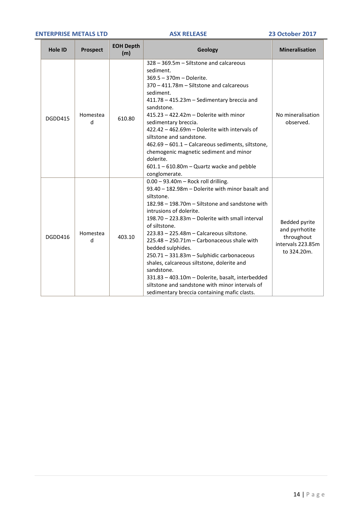#### **ENTERPRISE METALS LTD ASX RELEASE 23 October 2017**

| <b>Hole ID</b> | <b>Prospect</b> | <b>EOH Depth</b><br>(m) | Geology                                                                                                                                                                                                                                                                                                                                                                                                                                                                                                                                                                                                                                   | <b>Mineralisation</b>                                                             |
|----------------|-----------------|-------------------------|-------------------------------------------------------------------------------------------------------------------------------------------------------------------------------------------------------------------------------------------------------------------------------------------------------------------------------------------------------------------------------------------------------------------------------------------------------------------------------------------------------------------------------------------------------------------------------------------------------------------------------------------|-----------------------------------------------------------------------------------|
| DGDD415        | Homestea<br>d   | 610.80                  | 328 - 369.5m - Siltstone and calcareous<br>sediment.<br>369.5 - 370m - Dolerite.<br>370 - 411.78m - Siltstone and calcareous<br>sediment.<br>411.78 - 415.23m - Sedimentary breccia and<br>sandstone.<br>$415.23 - 422.42m - Dolerite with minor$<br>sedimentary breccia.<br>422.42 - 462.69m - Dolerite with intervals of<br>siltstone and sandstone.<br>462.69 - 601.1 - Calcareous sediments, siltstone,<br>chemogenic magnetic sediment and minor<br>dolerite.<br>$601.1 - 610.80m -$ Quartz wacke and pebble<br>conglomerate.                                                                                                        | No mineralisation<br>observed.                                                    |
| DGDD416        | Homestea<br>d   | 403.10                  | $0.00 - 93.40$ m - Rock roll drilling.<br>93.40 - 182.98m - Dolerite with minor basalt and<br>siltstone.<br>182.98 - 198.70m - Siltstone and sandstone with<br>intrusions of dolerite.<br>198.70 - 223.83m - Dolerite with small interval<br>of siltstone.<br>223.83 - 225.48m - Calcareous siltstone.<br>225.48 - 250.71m - Carbonaceous shale with<br>bedded sulphides.<br>250.71 - 331.83m - Sulphidic carbonaceous<br>shales, calcareous siltstone, dolerite and<br>sandstone.<br>331.83 - 403.10m - Dolerite, basalt, interbedded<br>siltstone and sandstone with minor intervals of<br>sedimentary breccia containing mafic clasts. | Bedded pyrite<br>and pyrrhotite<br>throughout<br>intervals 223.85m<br>to 324.20m. |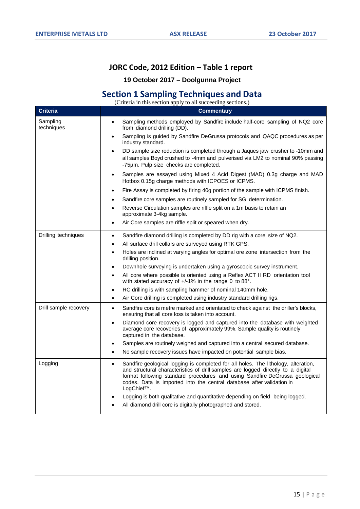# **JORC Code, 2012 Edition – Table 1 report**

# **19 October 2017 – Doolgunna Project**

# **Section 1 Sampling Techniques and Data**

(Criteria in this section apply to all succeeding sections.) **Criteria Commentary** Sampling techniques • Sampling methods employed by Sandfire include half-core sampling of NQ2 core from diamond drilling (DD). • Sampling is guided by Sandfire DeGrussa protocols and QAQC procedures as per industry standard. • DD sample size reduction is completed through a Jaques jaw crusher to -10mm and all samples Boyd crushed to -4mm and pulverised via LM2 to nominal 90% passing -75µm. Pulp size checks are completed. • Samples are assayed using Mixed 4 Acid Digest (MAD) 0.3g charge and MAD Hotbox 0.15g charge methods with ICPOES or ICPMS. • Fire Assay is completed by firing 40g portion of the sample with ICPMS finish. Sandfire core samples are routinely sampled for SG determination. Reverse Circulation samples are riffle split on a 1m basis to retain an approximate 3-4kg sample. Air Core samples are riffle split or speared when dry. Drilling techniques **•** Sandfire diamond drilling is completed by DD rig with a core size of NQ2. All surface drill collars are surveyed using RTK GPS. • Holes are inclined at varying angles for optimal ore zone intersection from the drilling position. • Downhole surveying is undertaken using a gyroscopic survey instrument. • All core where possible is oriented using a Reflex ACT II RD orientation tool with stated accuracy of +/-1% in the range 0 to 88°. • RC drilling is with sampling hammer of nominal 140mm hole. • Air Core drilling is completed using industry standard drilling rigs. Drill sample recovery  $\parallel \cdot \cdot \cdot$  Sandfire core is metre marked and orientated to check against the driller's blocks, ensuring that all core loss is taken into account. • Diamond core recovery is logged and captured into the database with weighted average core recoveries of approximately 99%. Sample quality is routinely captured in the database. Samples are routinely weighed and captured into a central secured database. • No sample recovery issues have impacted on potential sample bias. Logging **•** Sandfire geological logging is completed for all holes. The lithology, alteration, and structural characteristics of drill samples are logged directly to a digital format following standard procedures and using Sandfire DeGrussa geological codes. Data is imported into the central database after validation in LogChief™. • Logging is both qualitative and quantitative depending on field being logged. All diamond drill core is digitally photographed and stored.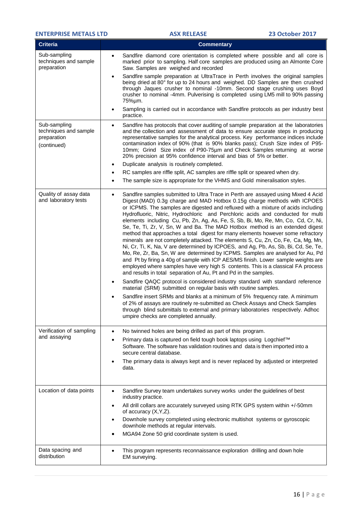| <b>ENTERPRISE METALS LTD</b>                                        |                        | <b>ASX RELEASE</b>                                                                                                                                                                                                                                                                                                                                                                                                                                                                                                                                                                                                                                                                                                                                                                                                                                                                                                                                                                                                                                                                                      | <b>23 October 2017</b> |
|---------------------------------------------------------------------|------------------------|---------------------------------------------------------------------------------------------------------------------------------------------------------------------------------------------------------------------------------------------------------------------------------------------------------------------------------------------------------------------------------------------------------------------------------------------------------------------------------------------------------------------------------------------------------------------------------------------------------------------------------------------------------------------------------------------------------------------------------------------------------------------------------------------------------------------------------------------------------------------------------------------------------------------------------------------------------------------------------------------------------------------------------------------------------------------------------------------------------|------------------------|
| <b>Criteria</b>                                                     |                        | <b>Commentary</b>                                                                                                                                                                                                                                                                                                                                                                                                                                                                                                                                                                                                                                                                                                                                                                                                                                                                                                                                                                                                                                                                                       |                        |
| Sub-sampling<br>techniques and sample<br>preparation                | $\bullet$              | Sandfire diamond core orientation is completed where possible and all core is<br>marked prior to sampling. Half core samples are produced using an Almonte Core<br>Saw. Samples are weighed and recorded                                                                                                                                                                                                                                                                                                                                                                                                                                                                                                                                                                                                                                                                                                                                                                                                                                                                                                |                        |
|                                                                     | $\bullet$              | Sandfire sample preparation at UltraTrace in Perth involves the original samples<br>being dried at 80° for up to 24 hours and weighed. DD Samples are then crushed<br>through Jaques crusher to nominal -10mm. Second stage crushing uses Boyd<br>crusher to nominal -4mm. Pulverising is completed using LM5 mill to 90% passing<br>75%µm.                                                                                                                                                                                                                                                                                                                                                                                                                                                                                                                                                                                                                                                                                                                                                             |                        |
|                                                                     | $\bullet$              | Sampling is carried out in accordance with Sandfire protocols as per industry best<br>practice.                                                                                                                                                                                                                                                                                                                                                                                                                                                                                                                                                                                                                                                                                                                                                                                                                                                                                                                                                                                                         |                        |
| Sub-sampling<br>techniques and sample<br>preparation<br>(continued) | $\bullet$              | Sandfire has protocols that cover auditing of sample preparation at the laboratories<br>and the collection and assessment of data to ensure accurate steps in producing<br>representative samples for the analytical process. Key performance indices include<br>contamination index of 90% (that is 90% blanks pass); Crush Size index of P95-<br>10mm; Grind Size index of P90-75µm and Check Samples returning at worse<br>20% precision at 95% confidence interval and bias of 5% or better.                                                                                                                                                                                                                                                                                                                                                                                                                                                                                                                                                                                                        |                        |
|                                                                     | $\bullet$              | Duplicate analysis is routinely completed.                                                                                                                                                                                                                                                                                                                                                                                                                                                                                                                                                                                                                                                                                                                                                                                                                                                                                                                                                                                                                                                              |                        |
|                                                                     | $\bullet$<br>$\bullet$ | RC samples are riffle split, AC samples are riffle split or speared when dry.<br>The sample size is appropriate for the VHMS and Gold mineralisation styles.                                                                                                                                                                                                                                                                                                                                                                                                                                                                                                                                                                                                                                                                                                                                                                                                                                                                                                                                            |                        |
| Quality of assay data<br>and laboratory tests                       | $\bullet$              | Sandfire samples submitted to Ultra Trace in Perth are assayed using Mixed 4 Acid<br>Digest (MAD) 0.3g charge and MAD Hotbox 0.15g charge methods with ICPOES<br>or ICPMS. The samples are digested and refluxed with a mixture of acids including<br>Hydrofluoric, Nitric, Hydrochloric and Perchloric acids and conducted for multi<br>elements including Cu, Pb, Zn, Ag, As, Fe, S, Sb, Bi, Mo, Re, Mn, Co, Cd, Cr, Ni,<br>Se, Te, Ti, Zr, V, Sn, W and Ba. The MAD Hotbox method is an extended digest<br>method that approaches a total digest for many elements however some refractory<br>minerals are not completely attacked. The elements S, Cu, Zn, Co, Fe, Ca, Mg, Mn,<br>Ni, Cr, Ti, K, Na, V are determined by ICPOES, and Ag, Pb, As, Sb, Bi, Cd, Se, Te,<br>Mo, Re, Zr, Ba, Sn, W are determined by ICPMS. Samples are analysed for Au, Pd<br>and Pt by firing a 40g of sample with ICP AES/MS finish. Lower sample weights are<br>employed where samples have very high S contents. This is a classical FA process<br>and results in total separation of Au, Pt and Pd in the samples. |                        |
|                                                                     | $\bullet$              | Sandfire QAQC protocol is considered industry standard with standard reference<br>material (SRM) submitted on regular basis with routine samples.                                                                                                                                                                                                                                                                                                                                                                                                                                                                                                                                                                                                                                                                                                                                                                                                                                                                                                                                                       |                        |
|                                                                     |                        | Sandfire insert SRMs and blanks at a minimum of 5% frequency rate. A minimum<br>of 2% of assays are routinely re-submitted as Check Assays and Check Samples<br>through blind submittals to external and primary laboratories respectively. Adhoc<br>umpire checks are completed annually.                                                                                                                                                                                                                                                                                                                                                                                                                                                                                                                                                                                                                                                                                                                                                                                                              |                        |
| Verification of sampling                                            | $\bullet$              | No twinned holes are being drilled as part of this program.                                                                                                                                                                                                                                                                                                                                                                                                                                                                                                                                                                                                                                                                                                                                                                                                                                                                                                                                                                                                                                             |                        |
| and assaying                                                        | $\bullet$              | Primary data is captured on field tough book laptops using Logchief™<br>Software. The software has validation routines and data is then imported into a<br>secure central database.                                                                                                                                                                                                                                                                                                                                                                                                                                                                                                                                                                                                                                                                                                                                                                                                                                                                                                                     |                        |
|                                                                     |                        | The primary data is always kept and is never replaced by adjusted or interpreted<br>data.                                                                                                                                                                                                                                                                                                                                                                                                                                                                                                                                                                                                                                                                                                                                                                                                                                                                                                                                                                                                               |                        |
| Location of data points                                             | $\bullet$              | Sandfire Survey team undertakes survey works under the guidelines of best<br>industry practice.                                                                                                                                                                                                                                                                                                                                                                                                                                                                                                                                                                                                                                                                                                                                                                                                                                                                                                                                                                                                         |                        |
|                                                                     | $\bullet$              | All drill collars are accurately surveyed using RTK GPS system within +/-50mm<br>of accuracy (X,Y,Z).                                                                                                                                                                                                                                                                                                                                                                                                                                                                                                                                                                                                                                                                                                                                                                                                                                                                                                                                                                                                   |                        |
|                                                                     | $\bullet$              | Downhole survey completed using electronic multishot systems or gyroscopic<br>downhole methods at regular intervals.                                                                                                                                                                                                                                                                                                                                                                                                                                                                                                                                                                                                                                                                                                                                                                                                                                                                                                                                                                                    |                        |
|                                                                     |                        | MGA94 Zone 50 grid coordinate system is used.                                                                                                                                                                                                                                                                                                                                                                                                                                                                                                                                                                                                                                                                                                                                                                                                                                                                                                                                                                                                                                                           |                        |
| Data spacing and<br>distribution                                    |                        | This program represents reconnaissance exploration drilling and down hole<br>EM surveying.                                                                                                                                                                                                                                                                                                                                                                                                                                                                                                                                                                                                                                                                                                                                                                                                                                                                                                                                                                                                              |                        |